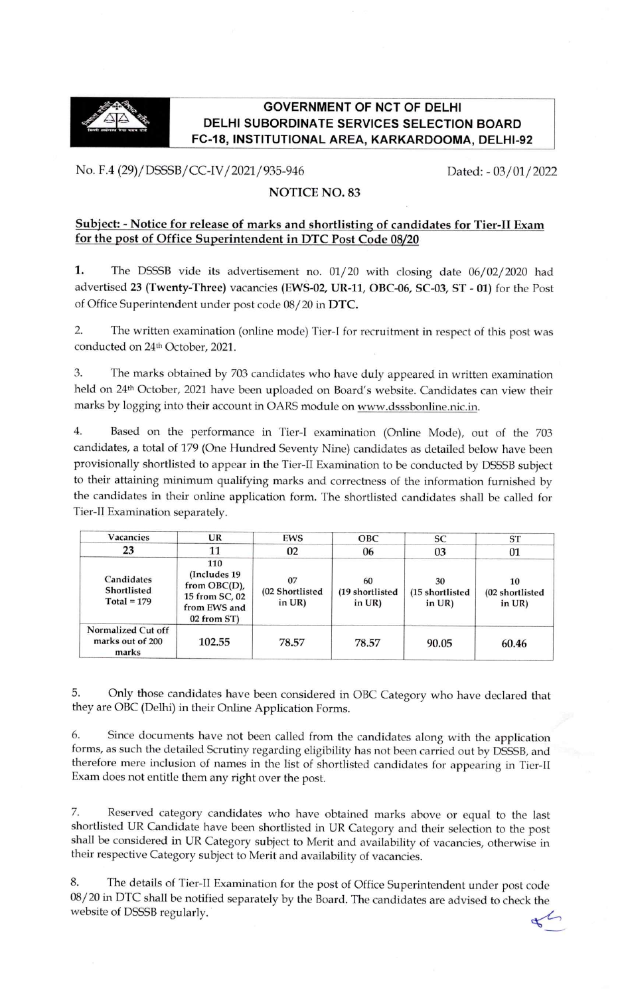

# **GOVERNMENT OF NCT OF DELHI DELHI SUBORDINATE SERVICES SELECTION BOARD** FC-18, INSTITUTIONAL AREA, KARKARDOOMA, DELHI-92

No. F.4 (29)/DSSSB/CC-IV/2021/935-946 Dated: - 03/01/2022

#### **NOTICE NO. 83**

## Subject: - Notice for release of marks and shortlisting of candidates for Tier-II Exam for the post Of Office Superintendent in DTC Post Code 08/20

1. The DSSSB vide its advertisement no. 01/20 with closing date 06/02/2020 had advertised 23 (Twenty-Three) vacancies (EWS-02, UR-11, OBC-06, SC-03, ST - 01) for the Post of Office Superintendent under post code 08/20 in DTC.

2. The written examination (online mode) Tier-I for recruitment in respect of this post was conducted on 24th October, 2021.

3. The marks obtained by 703 candidates who have duly appeared in written examination held on 24th October, 2021 have been uploaded on Board's website. Candidates can view their marks by logging into their account in OARS module on www.dsssbonline.nic.in.

4. Based on the performance in Tier-I examination (Online Mode), out of the 703 candidates, a total of 179 (One Hundred Seventy Nine) candidates as detailed below have been provisionally shortlisted to appear in the Tier-II Examination to be conducted by DSSSB subject to their attaining minimum qualifying marks and correctness of the information furnished by the candidates in their online application form. The shortlisted candidates shall be called for Tier-H Examination separately.

| Vacancies                                       | UR                                                                                       | EWS                                | <b>OBC</b>                      | <b>SC</b>                       | <b>ST</b>                       |
|-------------------------------------------------|------------------------------------------------------------------------------------------|------------------------------------|---------------------------------|---------------------------------|---------------------------------|
| 23                                              | 11                                                                                       | 02                                 | 06                              | 03                              | 01                              |
| Candidates<br>Shortlisted<br>$Total = 179$      | 110<br>(Includes 19)<br>from $OBC(D)$ ,<br>15 from SC, 02<br>from EWS and<br>02 from ST) | 07<br>(02 Shortlisted<br>in $UR$ ) | 60<br>(19 shortlisted<br>in UR) | 30<br>(15 shortlisted<br>in UR) | 10<br>(02 shortlisted<br>in UR) |
| Normalized Cut off<br>marks out of 200<br>marks | 102.55                                                                                   | 78.57                              | 78.57                           | 90.05                           | 60.46                           |

5. Only those candidates have been considered in OBC category who have declared that they are OBC (Delhi) in their Online Application Forms.

6. Since documents have not been called from the candidates along with the application forms, as such the detailed Scrutiny regarding eligibility has not been carried out by DSSSB, and therefore mere inclusion of names in the list of shortlisted candidates for appearing in Tier-II Exam does not entitle them any right over the post.

7. Reserved category candidates who have obtained marks above or equal to the last shortlisted UR Candidate have been shortlisted in UR Category and their selection to the post shall be considered in UR Category subject to Merit and availability of vacancies, otherwise in their respective Category subject to Merit and availability of vacancies.

8. The details of Tier-II Examination for the post of Office Superintendent under post code 08/20 in DTC shall be notified separately by the Board. The candidates are advised to check the website of DSSSB regularly.